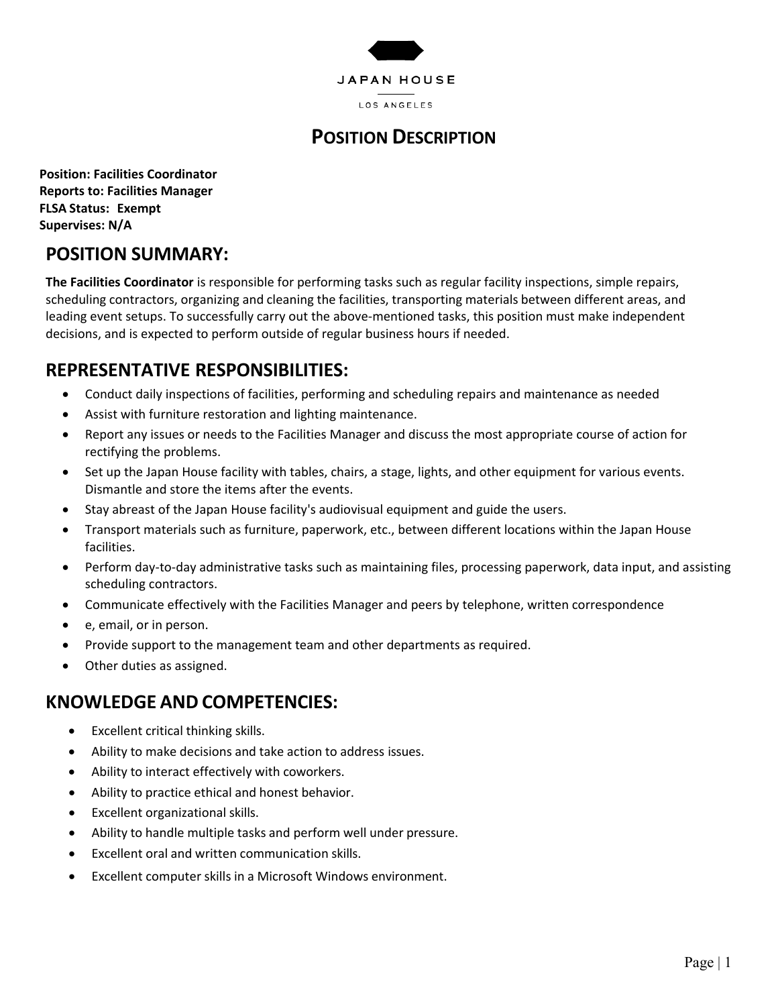

# **POSITION DESCRIPTION**

**Position: Facilities Coordinator Reports to: Facilities Manager FLSA Status: Exempt Supervises: N/A**

#### **POSITION SUMMARY:**

**The Facilities Coordinator** is responsible for performing tasks such as regular facility inspections, simple repairs, scheduling contractors, organizing and cleaning the facilities, transporting materials between different areas, and leading event setups. To successfully carry out the above-mentioned tasks, this position must make independent decisions, and is expected to perform outside of regular business hours if needed.

## **REPRESENTATIVE RESPONSIBILITIES:**

- Conduct daily inspections of facilities, performing and scheduling repairs and maintenance as needed
- Assist with furniture restoration and lighting maintenance.
- Report any issues or needs to the Facilities Manager and discuss the most appropriate course of action for rectifying the problems.
- Set up the Japan House facility with tables, chairs, a stage, lights, and other equipment for various events. Dismantle and store the items after the events.
- Stay abreast of the Japan House facility's audiovisual equipment and guide the users.
- Transport materials such as furniture, paperwork, etc., between different locations within the Japan House facilities.
- Perform day-to-day administrative tasks such as maintaining files, processing paperwork, data input, and assisting scheduling contractors.
- Communicate effectively with the Facilities Manager and peers by telephone, written correspondence
- e, email, or in person.
- Provide support to the management team and other departments as required.
- Other duties as assigned.

#### **KNOWLEDGE AND COMPETENCIES:**

- Excellent critical thinking skills.
- Ability to make decisions and take action to address issues.
- Ability to interact effectively with coworkers.
- Ability to practice ethical and honest behavior.
- Excellent organizational skills.
- Ability to handle multiple tasks and perform well under pressure.
- Excellent oral and written communication skills.
- Excellent computer skills in a Microsoft Windows environment.